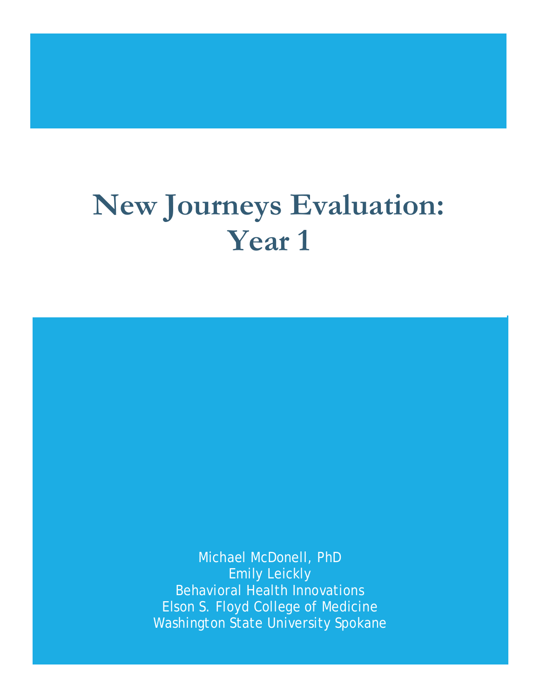# **New Journeys Evaluation: Year 1**

Michael McDonell, PhD Emily Leickly Behavioral Health Innovations Elson S. Floyd College of Medicine Washington State University Spokane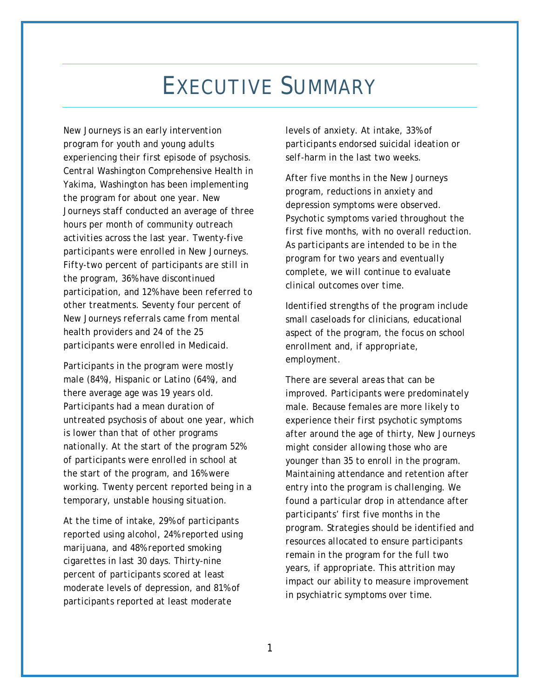## EXECUTIVE SUMMARY

*New Journeys is an early intervention program for youth and young adults experiencing their first episode of psychosis. Central Washington Comprehensive Health in Yakima, Washington has been implementing the program for about one year. New Journeys staff conducted an average of three hours per month of community outreach activities across the last year. Twenty-five participants were enrolled in New Journeys. Fifty-two percent of participants are still in the program, 36% have discontinued participation, and 12% have been referred to other treatments. Seventy four percent of New Journeys referrals came from mental health providers and 24 of the 25 participants were enrolled in Medicaid.* 

*Participants in the program were mostly male (84%), Hispanic or Latino (64%), and there average age was 19 years old. Participants had a mean duration of untreated psychosis of about one year, which is lower than that of other programs nationally. At the start of the program 52% of participants were enrolled in school at the start of the program, and 16% were working. Twenty percent reported being in a temporary, unstable housing situation.* 

*At the time of intake, 29% of participants reported using alcohol, 24% reported using marijuana, and 48% reported smoking cigarettes in last 30 days. Thirty-nine percent of participants scored at least moderate levels of depression, and 81% of participants reported at least moderate*

*levels of anxiety. At intake, 33% of participants endorsed suicidal ideation or self-harm in the last two weeks.*

*After five months in the New Journeys program, reductions in anxiety and depression symptoms were observed. Psychotic symptoms varied throughout the first five months, with no overall reduction. As participants are intended to be in the program for two years and eventually complete, we will continue to evaluate clinical outcomes over time.* 

*Identified strengths of the program include small caseloads for clinicians, educational aspect of the program, the focus on school enrollment and, if appropriate, employment.* 

*There are several areas that can be improved. Participants were predominately male. Because females are more likely to experience their first psychotic symptoms after around the age of thirty, New Journeys might consider allowing those who are younger than 35 to enroll in the program. Maintaining attendance and retention after entry into the program is challenging. We found a particular drop in attendance after participants' first five months in the program. Strategies should be identified and resources allocated to ensure participants remain in the program for the full two years, if appropriate. This attrition may impact our ability to measure improvement in psychiatric symptoms over time.*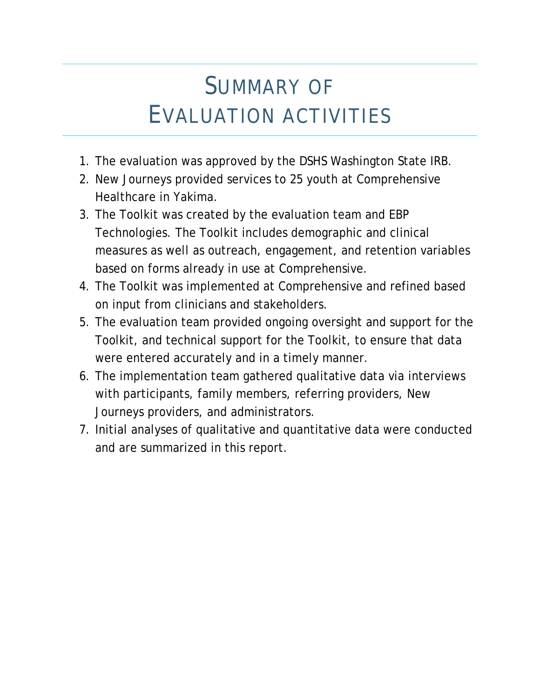## SUMMARY OF EVALUATION ACTIVITIES

- 1. The evaluation was approved by the DSHS Washington State IRB.
- 2. New Journeys provided services to 25 youth at Comprehensive Healthcare in Yakima.
- 3. The Toolkit was created by the evaluation team and EBP Technologies. The Toolkit includes demographic and clinical measures as well as outreach, engagement, and retention variables based on forms already in use at Comprehensive.
- 4. The Toolkit was implemented at Comprehensive and refined based on input from clinicians and stakeholders.
- 5. The evaluation team provided ongoing oversight and support for the Toolkit, and technical support for the Toolkit, to ensure that data were entered accurately and in a timely manner.
- 6. The implementation team gathered qualitative data via interviews with participants, family members, referring providers, New Journeys providers, and administrators.
- 7. Initial analyses of qualitative and quantitative data were conducted and are summarized in this report.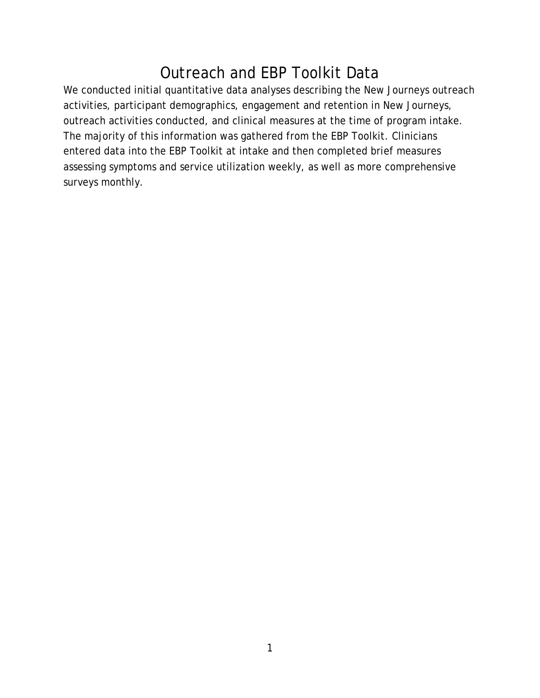## Outreach and EBP Toolkit Data

We conducted initial quantitative data analyses describing the New Journeys outreach activities, participant demographics, engagement and retention in New Journeys, outreach activities conducted, and clinical measures at the time of program intake. The majority of this information was gathered from the EBP Toolkit. Clinicians entered data into the EBP Toolkit at intake and then completed brief measures assessing symptoms and service utilization weekly, as well as more comprehensive surveys monthly.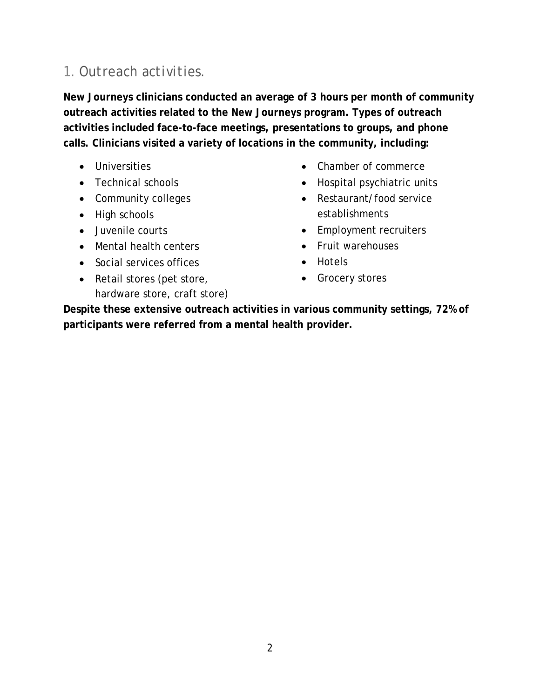#### *1. Outreach activities.*

**New Journeys clinicians conducted an average of 3 hours per month of community outreach activities related to the New Journeys program. Types of outreach activities included face-to-face meetings, presentations to groups, and phone calls. Clinicians visited a variety of locations in the community, including:** 

- Universities
- Technical schools
- Community colleges
- High schools
- Juvenile courts
- Mental health centers
- Social services offices
- Retail stores (pet store, hardware store, craft store)
- Chamber of commerce
- Hospital psychiatric units
- Restaurant/food service establishments
- Employment recruiters
- Fruit warehouses
- Hotels
- Grocery stores

**Despite these extensive outreach activities in various community settings, 72% of participants were referred from a mental health provider.**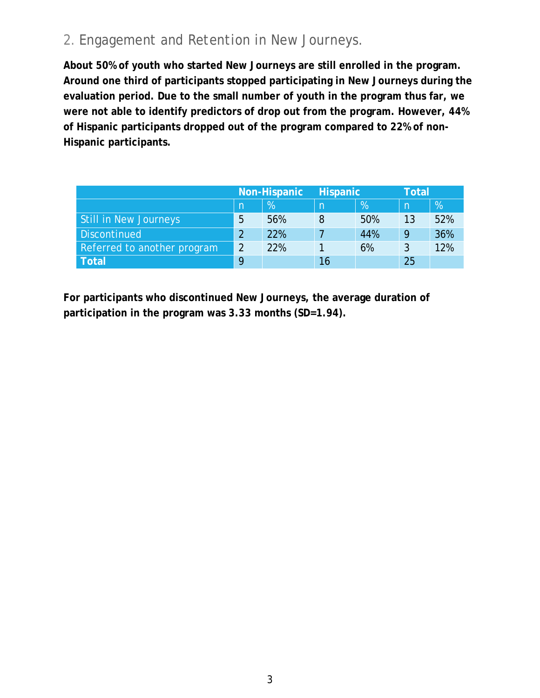#### *2. Engagement and Retention in New Journeys.*

**About 50% of youth who started New Journeys are still enrolled in the program. Around one third of participants stopped participating in New Journeys during the evaluation period. Due to the small number of youth in the program thus far, we were not able to identify predictors of drop out from the program. However, 44% of Hispanic participants dropped out of the program compared to 22% of non-Hispanic participants.**

|                             |    | Non-Hispanic | <b>Hispanic</b> |               | <b>Total</b> |     |
|-----------------------------|----|--------------|-----------------|---------------|--------------|-----|
|                             | n  | $\%$         | n               | $\frac{9}{6}$ | m            | %   |
| Still in New Journeys       | -5 | 56%          |                 | 50%           | 13           | 52% |
| <b>Discontinued</b>         |    | 22%          |                 | 44%           | 9            | 36% |
| Referred to another program |    | 22%          |                 | 6%            |              | 12% |
| <b>Total</b>                |    |              | 16              |               | 25           |     |

**For participants who discontinued New Journeys, the average duration of participation in the program was 3.33 months (SD=1.94).**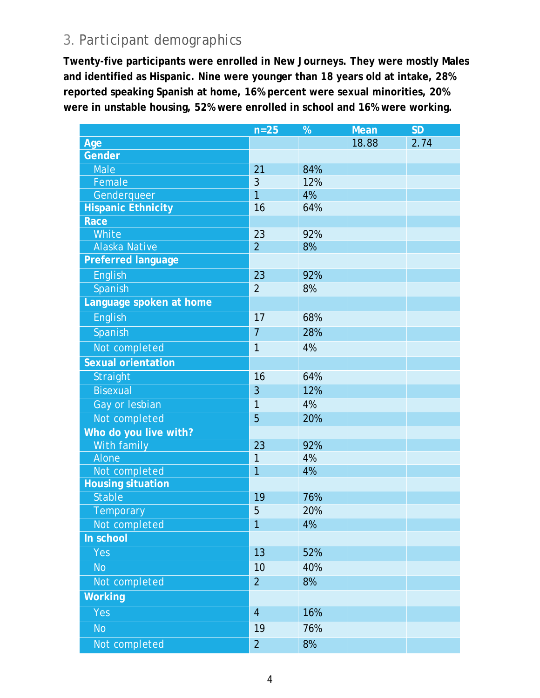#### *3. Participant demographics*

**Twenty-five participants were enrolled in New Journeys. They were mostly Males and identified as Hispanic. Nine were younger than 18 years old at intake, 28% reported speaking Spanish at home, 16% percent were sexual minorities, 20% were in unstable housing, 52% were enrolled in school and 16% were working.** 

|                           | $n=25$         | %   | <b>Mean</b> | <b>SD</b> |
|---------------------------|----------------|-----|-------------|-----------|
| Age                       |                |     | 18.88       | 2.74      |
| Gender                    |                |     |             |           |
| Male                      | 21             | 84% |             |           |
| Female                    | 3              | 12% |             |           |
| Genderqueer               | 1              | 4%  |             |           |
| <b>Hispanic Ethnicity</b> | 16             | 64% |             |           |
| Race                      |                |     |             |           |
| White                     | 23             | 92% |             |           |
| <b>Alaska Native</b>      | $\overline{2}$ | 8%  |             |           |
| <b>Preferred language</b> |                |     |             |           |
| <b>English</b>            | 23             | 92% |             |           |
| Spanish                   | $\overline{2}$ | 8%  |             |           |
| Language spoken at home   |                |     |             |           |
| English                   | 17             | 68% |             |           |
| Spanish                   | $\overline{7}$ | 28% |             |           |
| Not completed             | $\mathbf{1}$   | 4%  |             |           |
| <b>Sexual orientation</b> |                |     |             |           |
| Straight                  | 16             | 64% |             |           |
| <b>Bisexual</b>           | 3              | 12% |             |           |
| Gay or lesbian            | 1              | 4%  |             |           |
| Not completed             | 5              | 20% |             |           |
| Who do you live with?     |                |     |             |           |
| With family               | 23             | 92% |             |           |
| Alone                     | 1              | 4%  |             |           |
| Not completed             | $\overline{1}$ | 4%  |             |           |
| <b>Housing situation</b>  |                |     |             |           |
| <b>Stable</b>             | 19             | 76% |             |           |
| <b>Temporary</b>          | 5              | 20% |             |           |
| Not completed             | 7              | 4%  |             |           |
| In school                 |                |     |             |           |
| Yes                       | 13             | 52% |             |           |
| <b>No</b>                 | 10             | 40% |             |           |
| Not completed             | $\overline{2}$ | 8%  |             |           |
| <b>Working</b>            |                |     |             |           |
| Yes                       | $\overline{4}$ | 16% |             |           |
| <b>No</b>                 | 19             | 76% |             |           |
| Not completed             | $\overline{a}$ | 8%  |             |           |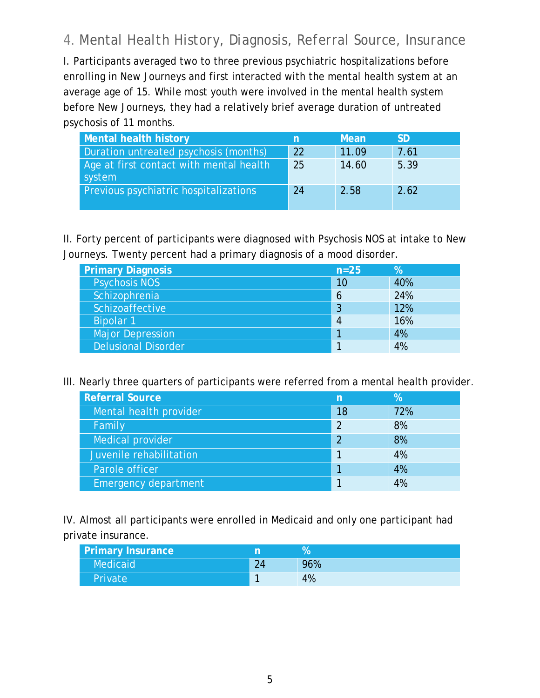#### *4. Mental Health History, Diagnosis, Referral Source, Insurance*

I. Participants averaged two to three previous psychiatric hospitalizations before enrolling in New Journeys and first interacted with the mental health system at an average age of 15. While most youth were involved in the mental health system before New Journeys, they had a relatively brief average duration of untreated psychosis of 11 months.

| <b>Mental health history</b>                      | n  | Mean  | <b>SD</b> |
|---------------------------------------------------|----|-------|-----------|
| Duration untreated psychosis (months)             | 22 | 11.09 | 7.61      |
| Age at first contact with mental health<br>system | 25 | 14.60 | 5.39      |
| Previous psychiatric hospitalizations             | 24 | 2.58  | 2.62      |

II. Forty percent of participants were diagnosed with Psychosis NOS at intake to New Journeys. Twenty percent had a primary diagnosis of a mood disorder.

| <b>Primary Diagnosis</b>   | $n=25$ | $\%$ |
|----------------------------|--------|------|
| <b>Psychosis NOS</b>       | 10     | 40%  |
| Schizophrenia              | 6      | 24%  |
| Schizoaffective            | 3      | 12%  |
| <b>Bipolar 1</b>           | 4      | 16%  |
| <b>Major Depression</b>    |        | 4%   |
| <b>Delusional Disorder</b> |        | 4%   |

#### III. Nearly three quarters of participants were referred from a mental health provider.

| <b>Referral Source</b>      | n  | %   |
|-----------------------------|----|-----|
| Mental health provider      | 18 | 72% |
| Family                      | 2  | 8%  |
| Medical provider            | 2  | 8%  |
| Juvenile rehabilitation     |    | 4%  |
| Parole officer              |    | 4%  |
| <b>Emergency department</b> |    | 4%  |

IV. Almost all participants were enrolled in Medicaid and only one participant had private insurance.

| <b>Primary Insurance</b> |    |     |
|--------------------------|----|-----|
| Medicaid                 | 24 | 96% |
| <b>Private</b>           |    | 4%  |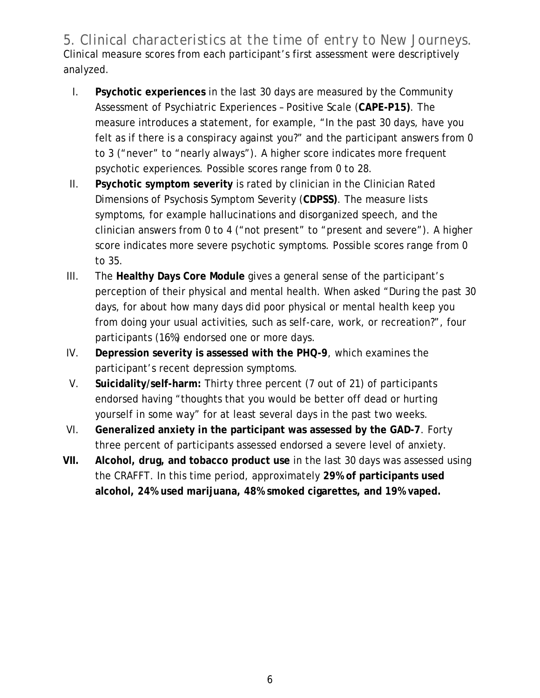*5. Clinical characteristics at the time of entry to New Journeys.* Clinical measure scores from each participant's first assessment were descriptively analyzed.

- I. **Psychotic experiences** in the last 30 days are measured by the Community Assessment of Psychiatric Experiences – Positive Scale (**CAPE-P15)**. The measure introduces a statement, for example, "In the past 30 days, have you felt as if there is a conspiracy against you?" and the participant answers from 0 to 3 ("never" to "nearly always"). A higher score indicates more frequent psychotic experiences. Possible scores range from 0 to 28.
- II. **Psychotic symptom severity** is rated by clinician in the Clinician Rated Dimensions of Psychosis Symptom Severity (**CDPSS)**. The measure lists symptoms, for example hallucinations and disorganized speech, and the clinician answers from 0 to 4 ("not present" to "present and severe"). A higher score indicates more severe psychotic symptoms. Possible scores range from 0 to 35.
- III. The **Healthy Days Core Module** gives a general sense of the participant's perception of their physical and mental health. When asked "During the past 30 days, for about how many days did poor physical or mental health keep you from doing your usual activities, such as self-care, work, or recreation?", four participants (16%) endorsed one or more days.
- IV. **Depression severity is assessed with the PHQ-9**, which examines the participant's recent depression symptoms.
- V. **Suicidality/self-harm:** Thirty three percent (7 out of 21) of participants endorsed having "thoughts that you would be better off dead or hurting yourself in some way" for at least several days in the past two weeks.
- VI. **Generalized anxiety in the participant was assessed by the GAD-7**. Forty three percent of participants assessed endorsed a severe level of anxiety.
- **VII. Alcohol, drug, and tobacco product use** in the last 30 days was assessed using the CRAFFT. In this time period, approximately **29% of participants used alcohol, 24% used marijuana, 48% smoked cigarettes, and 19% vaped.**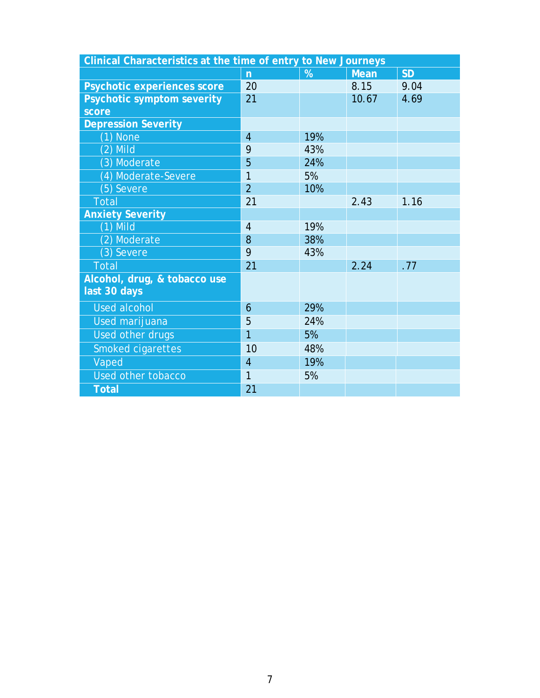| Clinical Characteristics at the time of entry to New Journeys |                |     |             |           |  |
|---------------------------------------------------------------|----------------|-----|-------------|-----------|--|
|                                                               | $\overline{n}$ | %   | <b>Mean</b> | <b>SD</b> |  |
| Psychotic experiences score                                   | 20             |     | 8.15        | 9.04      |  |
| <b>Psychotic symptom severity</b>                             | 21             |     | 10.67       | 4.69      |  |
| score                                                         |                |     |             |           |  |
| <b>Depression Severity</b>                                    |                |     |             |           |  |
| $(1)$ None                                                    | $\overline{4}$ | 19% |             |           |  |
| $(2)$ Mild                                                    | 9              | 43% |             |           |  |
| (3) Moderate                                                  | 5              | 24% |             |           |  |
| (4) Moderate-Severe                                           | 1              | 5%  |             |           |  |
| (5) Severe                                                    | $\overline{2}$ | 10% |             |           |  |
| <b>Total</b>                                                  | 21             |     | 2.43        | 1.16      |  |
| <b>Anxiety Severity</b>                                       |                |     |             |           |  |
| $(1)$ Mild                                                    | $\overline{4}$ | 19% |             |           |  |
| (2) Moderate                                                  | 8              | 38% |             |           |  |
| (3) Severe                                                    | 9              | 43% |             |           |  |
| <b>Total</b>                                                  | 21             |     | 2.24        | .77       |  |
| Alcohol, drug, & tobacco use                                  |                |     |             |           |  |
| last 30 days                                                  |                |     |             |           |  |
| <b>Used alcohol</b>                                           | 6              | 29% |             |           |  |
| Used marijuana                                                | 5              | 24% |             |           |  |
| Used other drugs                                              | 1              | 5%  |             |           |  |
| Smoked cigarettes                                             | 10             | 48% |             |           |  |
| Vaped                                                         | $\overline{4}$ | 19% |             |           |  |
| Used other tobacco                                            | 1              | 5%  |             |           |  |
| <b>Total</b>                                                  | 21             |     |             |           |  |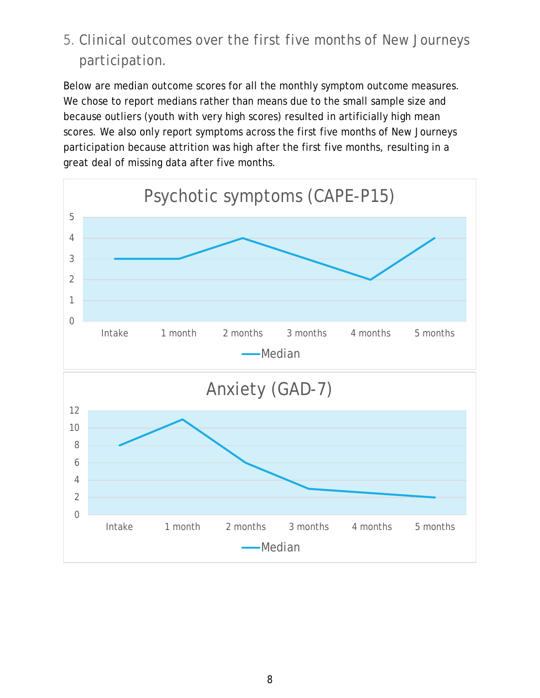### *5. Clinical outcomes over the first five months of New Journeys participation.*

Below are median outcome scores for all the monthly symptom outcome measures. We chose to report medians rather than means due to the small sample size and because outliers (youth with very high scores) resulted in artificially high mean scores. We also only report symptoms across the first five months of New Journeys participation because attrition was high after the first five months, resulting in a great deal of missing data after five months.

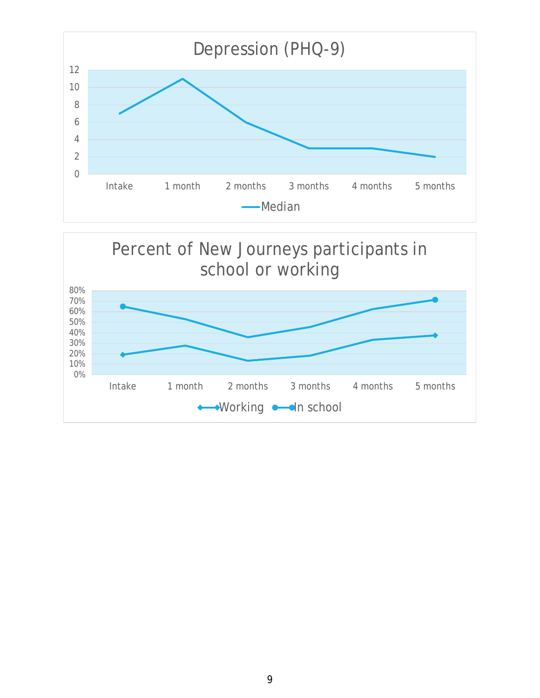

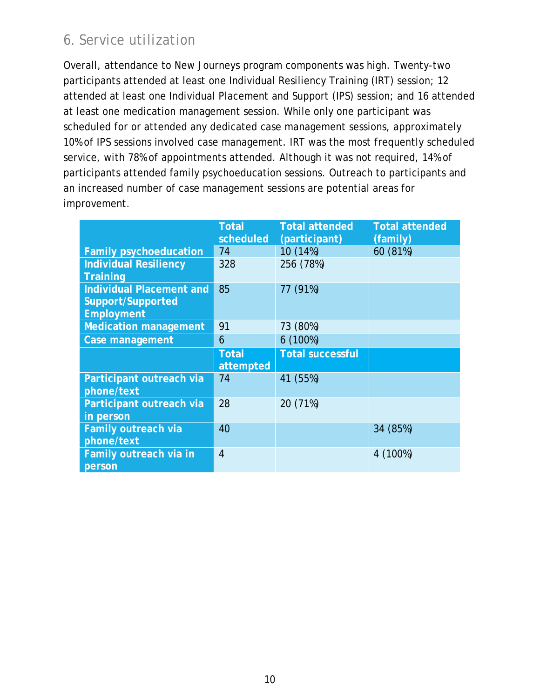#### *6. Service utilization*

Overall, attendance to New Journeys program components was high. Twenty-two participants attended at least one Individual Resiliency Training (IRT) session; 12 attended at least one Individual Placement and Support (IPS) session; and 16 attended at least one medication management session. While only one participant was scheduled for or attended any dedicated case management sessions, approximately 10% of IPS sessions involved case management. IRT was the most frequently scheduled service, with 78% of appointments attended. Although it was not required, 14% of participants attended family psychoeducation sessions. Outreach to participants and an increased number of case management sessions are potential areas for improvement.

|                                                                           | <b>Total</b><br>scheduled | <b>Total attended</b><br>(participant) | <b>Total attended</b><br>(family) |
|---------------------------------------------------------------------------|---------------------------|----------------------------------------|-----------------------------------|
| <b>Family psychoeducation</b>                                             | 74                        | 10 (14%)                               | 60 (81%)                          |
| <b>Individual Resiliency</b><br><b>Training</b>                           | 328                       | 256 (78%)                              |                                   |
| <b>Individual Placement and</b><br>Support/Supported<br><b>Employment</b> | 85                        | 77 (91%)                               |                                   |
| <b>Medication management</b>                                              | 91                        | 73 (80%)                               |                                   |
| Case management                                                           | 6                         | 6(100%)                                |                                   |
|                                                                           | <b>Total</b><br>attempted | <b>Total successful</b>                |                                   |
| Participant outreach via<br>phone/text                                    | 74                        | 41 (55%)                               |                                   |
| Participant outreach via<br>in person                                     | 28                        | 20 (71%)                               |                                   |
| Family outreach via<br>phone/text                                         | 40                        |                                        | 34 (85%)                          |
| Family outreach via in<br>person                                          | $\overline{4}$            |                                        | 4 (100%)                          |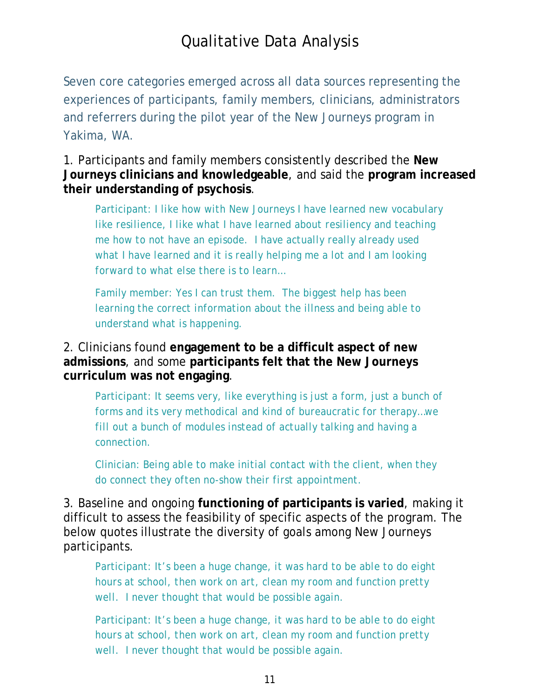### Qualitative Data Analysis

Seven core categories emerged across all data sources representing the experiences of participants, family members, clinicians, administrators and referrers during the pilot year of the New Journeys program in Yakima, WA.

1. Participants and family members consistently described the **New Journeys clinicians and knowledgeable**, and said the **program increased their understanding of psychosis**.

Participant: *I like how with New Journeys I have learned new vocabulary like resilience, I like what I have learned about resiliency and teaching me how to not have an episode. I have actually really already used what I have learned and it is really helping me a lot and I am looking forward to what else there is to learn…*

Family member: *Yes I can trust them. The biggest help has been learning the correct information about the illness and being able to understand what is happening.*

2. Clinicians found **engagement to be a difficult aspect of new admissions**, and some **participants felt that the New Journeys curriculum was not engaging**.

Participant: *It seems very, like everything is just a form, just a bunch of forms and its very methodical and kind of bureaucratic for therapy…we fill out a bunch of modules instead of actually talking and having a connection.*

Clinician: *Being able to make initial contact with the client, when they do connect they often no-show their first appointment.* 

3. Baseline and ongoing **functioning of participants is varied**, making it difficult to assess the feasibility of specific aspects of the program. The below quotes illustrate the diversity of goals among New Journeys participants.

Participant: *It's been a huge change, it was hard to be able to do eight hours at school, then work on art, clean my room and function pretty well. I never thought that would be possible again.*

Participant: *It's been a huge change, it was hard to be able to do eight hours at school, then work on art, clean my room and function pretty well. I never thought that would be possible again.*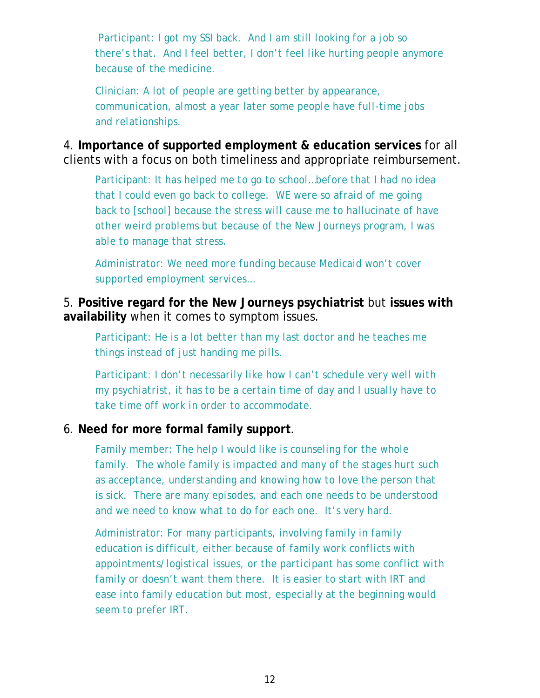Participant: *I got my SSI back. And I am still looking for a job so there's that. And I feel better, I don't feel like hurting people anymore because of the medicine.* 

Clinician: *A lot of people are getting better by appearance, communication, almost a year later some people have full-time jobs and relationships.* 

4. **Importance of supported employment & education services** for all clients with a focus on both timeliness and appropriate reimbursement.

Participant: *It has helped me to go to school…before that I had no idea that I could even go back to college. WE were so afraid of me going back to [school] because the stress will cause me to hallucinate of have other weird problems but because of the New Journeys program, I was able to manage that stress.*

Administrator: *We need more funding because Medicaid won't cover supported employment services…*

#### 5. **Positive regard for the New Journeys psychiatrist** but **issues with availability** when it comes to symptom issues.

Participant: *He is a lot better than my last doctor and he teaches me things instead of just handing me pills.*

Participant: *I don't necessarily like how I can't schedule very well with my psychiatrist, it has to be a certain time of day and I usually have to take time off work in order to accommodate.*

#### 6. **Need for more formal family support**.

Family member: *The help I would like is counseling for the whole family. The whole family is impacted and many of the stages hurt such as acceptance, understanding and knowing how to love the person that is sick. There are many episodes, and each one needs to be understood and we need to know what to do for each one. It's very hard.*

Administrator: *For many participants, involving family in family education is difficult, either because of family work conflicts with appointments/logistical issues, or the participant has some conflict with family or doesn't want them there. It is easier to start with IRT and ease into family education but most, especially at the beginning would seem to prefer IRT.*